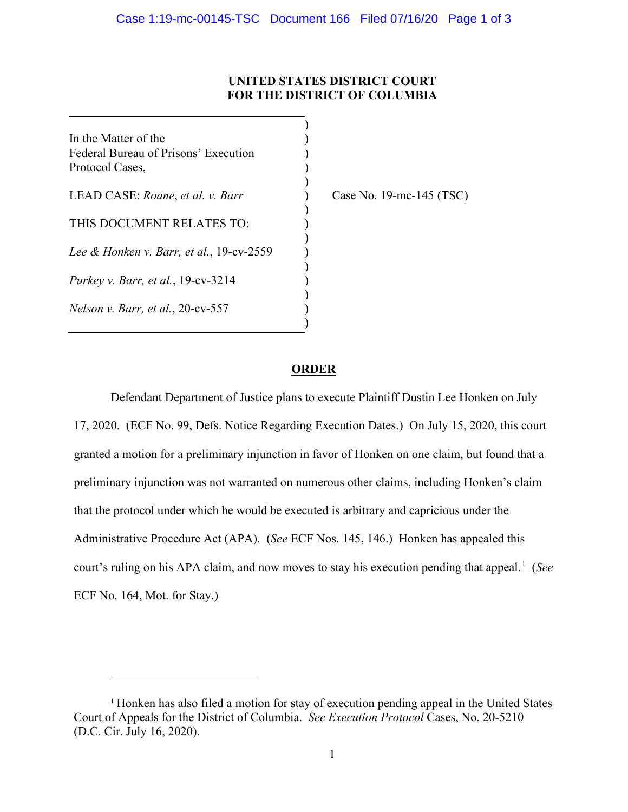)

)

)

)

) ) )

)

## **UNITED STATES DISTRICT COURT FOR THE DISTRICT OF COLUMBIA**

In the Matter of the  $($ Federal Bureau of Prisons' Execution ) Protocol Cases, )

LEAD CASE: *Roane*, *et al. v. Barr* ) Case No. 19-mc-145 (TSC)

THIS DOCUMENT RELATES TO:

*Lee & Honken v. Barr, et al.*, 19-cv-2559 )

*Purkey v. Barr, et al.*, 19-cv-3214

*Nelson v. Barr, et al.*, 20-cv-557 )

## **ORDER**

Defendant Department of Justice plans to execute Plaintiff Dustin Lee Honken on July 17, 2020. (ECF No. 99, Defs. Notice Regarding Execution Dates.) On July 15, 2020, this court granted a motion for a preliminary injunction in favor of Honken on one claim, but found that a preliminary injunction was not warranted on numerous other claims, including Honken's claim that the protocol under which he would be executed is arbitrary and capricious under the Administrative Procedure Act (APA). (*See* ECF Nos. 145, 146.) Honken has appealed this court's ruling on his APA claim, and now moves to stay his execution pending that appeal.<sup>[1](#page-0-0)</sup> (*See* ECF No. 164, Mot. for Stay.)

<span id="page-0-0"></span><sup>1</sup> Honken has also filed a motion for stay of execution pending appeal in the United States Court of Appeals for the District of Columbia. *See Execution Protocol* Cases, No. 20-5210 (D.C. Cir. July 16, 2020).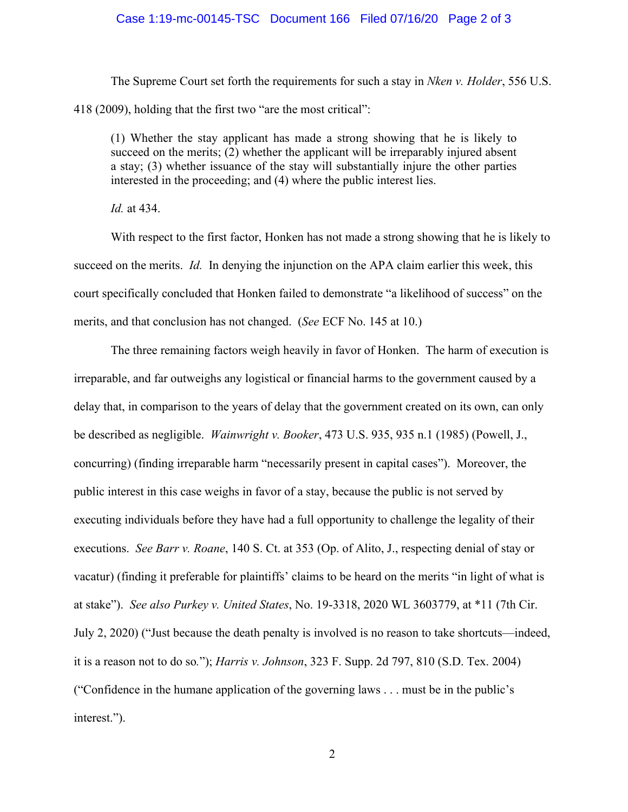## Case 1:19-mc-00145-TSC Document 166 Filed 07/16/20 Page 2 of 3

The Supreme Court set forth the requirements for such a stay in *Nken v. Holder*, 556 U.S. 418 (2009), holding that the first two "are the most critical":

(1) Whether the stay applicant has made a strong showing that he is likely to succeed on the merits; (2) whether the applicant will be irreparably injured absent a stay; (3) whether issuance of the stay will substantially injure the other parties interested in the proceeding; and (4) where the public interest lies.

*Id.* at 434.

With respect to the first factor, Honken has not made a strong showing that he is likely to succeed on the merits. *Id.* In denying the injunction on the APA claim earlier this week, this court specifically concluded that Honken failed to demonstrate "a likelihood of success" on the merits, and that conclusion has not changed. (*See* ECF No. 145 at 10.)

The three remaining factors weigh heavily in favor of Honken. The harm of execution is irreparable, and far outweighs any logistical or financial harms to the government caused by a delay that, in comparison to the years of delay that the government created on its own, can only be described as negligible. *Wainwright v. Booker*, 473 U.S. 935, 935 n.1 (1985) (Powell, J., concurring) (finding irreparable harm "necessarily present in capital cases"). Moreover, the public interest in this case weighs in favor of a stay, because the public is not served by executing individuals before they have had a full opportunity to challenge the legality of their executions. *See Barr v. Roane*, 140 S. Ct. at 353 (Op. of Alito, J., respecting denial of stay or vacatur) (finding it preferable for plaintiffs' claims to be heard on the merits "in light of what is at stake"). *See also Purkey v. United States*, No. 19-3318, 2020 WL 3603779, at \*11 (7th Cir. July 2, 2020) ("Just because the death penalty is involved is no reason to take shortcuts—indeed, it is a reason not to do so*.*"); *Harris v. Johnson*, 323 F. Supp. 2d 797, 810 (S.D. Tex. 2004) ("Confidence in the humane application of the governing laws . . . must be in the public's interest.").